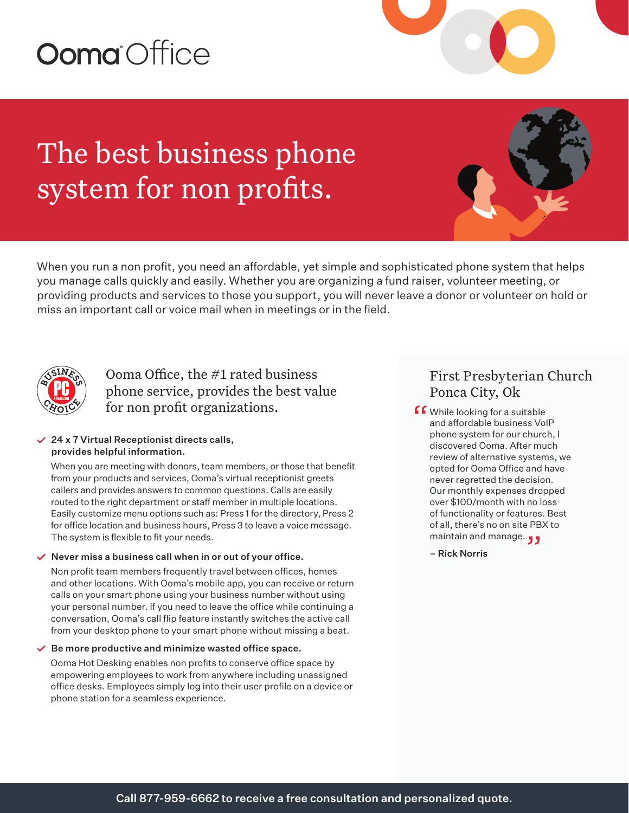# **Ooma** Office

The best business phone system for non profits.

When you run a non profit, you need an affordable, yet simple and sophisticated phone system that helps you manage calls quickly and easily. Whether you are organizing a fund raiser, volunteer meeting, or providing products and services to those you support, you will never leave a donor or volunteer on hold or miss an important call or voice mail when in meetings or in the field.



### Ooma Office, the #1 rated business phone service, provides the best value for non profit organizations.

#### $\vee$  24 x 7 Virtual Receptionist directs calls, provides helpful information.

When you are meeting with donors, team members, or those that benefit from your products and services, Ooma's virtual receptionist greets callers and provides answers to common questions. Calls are easily routed to the right department or staff member in multiple locations. Easily customize menu options such as: Press 1 for the directory, Press 2 for office location and business hours, Press 3 to leave a voice message. The system is flexible to fit your needs.

#### $\vee$  Never miss a business call when in or out of your office.

Non profit team members frequently travel between offices, homes and other locations. With Ooma's mobile app, you can receive or return calls on your smart phone using your business number without using your personal number. If you need to leave the office while continuing a conversation, Ooma's call flip feature instantly switches the active call from your desktop phone to your smart phone without missing a beat.

#### $\vee$  Be more productive and minimize wasted office space.

Ooma Hot Desking enables non profits to conserve office space by empowering employees to work from anywhere including unassigned office desks. Employees simply log into their user profile on a device or phone station for a seamless experience.

## First Presbyterian Church Ponca City, Ok

f While looking for a suitable<br>and affordable business Vol<br>phone system for our churc and affordable business VoIP phone system for our church, I discovered Ooma. After much review of alternative systems, we opted for Ooma Office and have never regretted the decision. Our monthly expenses dropped over \$100/month with no loss of functionality or features. Best of all, there's no on site PBX to of all, there's no on site PB.<br>maintain and manage. <sub>J J</sub>

– Rick Norris